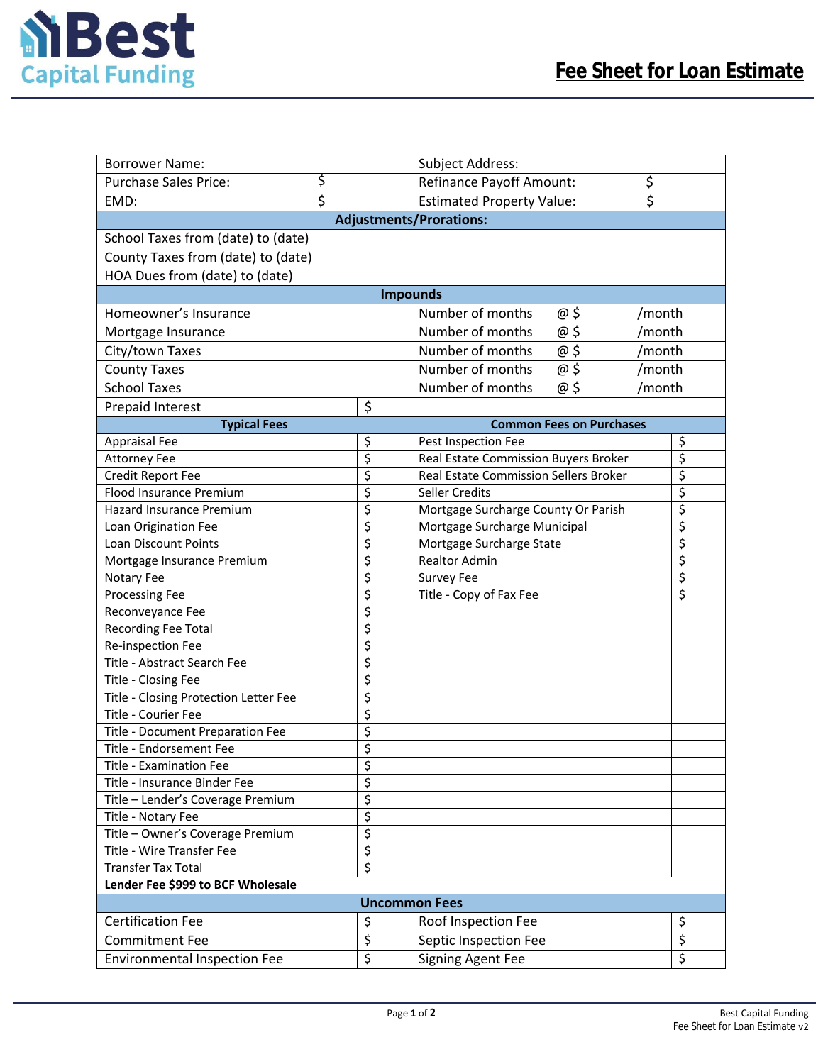

| <b>Borrower Name:</b>                           |          | Subject Address:                                            |                  |  |  |
|-------------------------------------------------|----------|-------------------------------------------------------------|------------------|--|--|
| \$<br><b>Purchase Sales Price:</b>              |          | \$<br><b>Refinance Payoff Amount:</b>                       |                  |  |  |
| \$<br>EMD:                                      |          | $\overline{\mathsf{s}}$<br><b>Estimated Property Value:</b> |                  |  |  |
| <b>Adjustments/Prorations:</b>                  |          |                                                             |                  |  |  |
| School Taxes from (date) to (date)              |          |                                                             |                  |  |  |
| County Taxes from (date) to (date)              |          |                                                             |                  |  |  |
| HOA Dues from (date) to (date)                  |          |                                                             |                  |  |  |
| <b>Impounds</b>                                 |          |                                                             |                  |  |  |
| Homeowner's Insurance                           |          | Number of months<br>@ \$                                    | /month           |  |  |
| Mortgage Insurance                              |          | $\overline{\omega}$ \$<br>Number of months                  | /month           |  |  |
| City/town Taxes                                 |          | $\overline{\omega}$ \$<br>Number of months                  | /month           |  |  |
| <b>County Taxes</b>                             |          | @5<br>Number of months                                      | /month           |  |  |
| <b>School Taxes</b>                             |          | @\$<br>Number of months                                     | /month           |  |  |
| <b>Prepaid Interest</b>                         | \$       |                                                             |                  |  |  |
| <b>Typical Fees</b>                             |          | <b>Common Fees on Purchases</b>                             |                  |  |  |
| <b>Appraisal Fee</b>                            | \$       | Pest Inspection Fee                                         | \$               |  |  |
| <b>Attorney Fee</b>                             | \$       | Real Estate Commission Buyers Broker                        | \$               |  |  |
| Credit Report Fee                               | \$       | Real Estate Commission Sellers Broker                       | \$               |  |  |
| Flood Insurance Premium                         | \$       | Seller Credits                                              | \$               |  |  |
| Hazard Insurance Premium                        | \$       | Mortgage Surcharge County Or Parish                         | \$               |  |  |
| Loan Origination Fee                            | \$       | Mortgage Surcharge Municipal                                | \$               |  |  |
| Loan Discount Points                            | \$       | Mortgage Surcharge State                                    | \$               |  |  |
| Mortgage Insurance Premium                      | \$       | <b>Realtor Admin</b>                                        | \$               |  |  |
| Notary Fee                                      | \$       | <b>Survey Fee</b>                                           | \$               |  |  |
| Processing Fee                                  | \$       | Title - Copy of Fax Fee                                     | $\overline{\xi}$ |  |  |
| Reconveyance Fee                                | \$       |                                                             |                  |  |  |
| <b>Recording Fee Total</b><br>Re-inspection Fee | \$<br>\$ |                                                             |                  |  |  |
| Title - Abstract Search Fee                     | \$       |                                                             |                  |  |  |
| Title - Closing Fee                             | \$       |                                                             |                  |  |  |
| Title - Closing Protection Letter Fee           | \$       |                                                             |                  |  |  |
| Title - Courier Fee                             | \$       |                                                             |                  |  |  |
| Title - Document Preparation Fee                | \$       |                                                             |                  |  |  |
| Title - Endorsement Fee                         | \$       |                                                             |                  |  |  |
| <b>Title - Examination Fee</b>                  | \$       |                                                             |                  |  |  |
| Title - Insurance Binder Fee                    | \$       |                                                             |                  |  |  |
| Title - Lender's Coverage Premium               | \$       |                                                             |                  |  |  |
| Title - Notary Fee                              | \$       |                                                             |                  |  |  |
| Title - Owner's Coverage Premium                | \$       |                                                             |                  |  |  |
| Title - Wire Transfer Fee                       | \$       |                                                             |                  |  |  |
| <b>Transfer Tax Total</b>                       | \$       |                                                             |                  |  |  |
| Lender Fee \$999 to BCF Wholesale               |          |                                                             |                  |  |  |
| <b>Uncommon Fees</b>                            |          |                                                             |                  |  |  |
| <b>Certification Fee</b>                        | \$       | Roof Inspection Fee                                         | \$               |  |  |
| <b>Commitment Fee</b>                           | \$       | Septic Inspection Fee                                       | \$               |  |  |
| <b>Environmental Inspection Fee</b>             | \$       | <b>Signing Agent Fee</b>                                    | $\overline{\xi}$ |  |  |